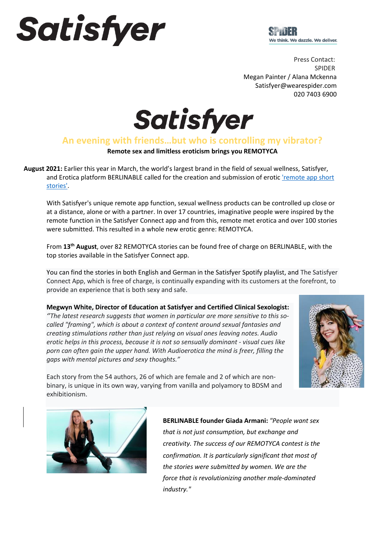# Satisfyer



Press Contact: SPIDER Megan Painter / Alana Mckenna Satisfyer@wearespider.com  020 7403 6900

Satisfyer

### **An evening with friends…but who is controlling my vibrator?**

**Remote sex and limitless eroticism brings you REMOTYCA**

**August 2021:** Earlier this year in March, the world's largest brand in the field of sexual wellness, Satisfyer, and Erotica platform BERLINABLE called for the creation and submission of erotic 'remote app short [stories'.](https://www.satisfyer.com/uk/erotic-stories/)

With Satisfyer's unique remote app function, sexual wellness products can be controlled up close or at a distance, alone or with a partner. In over 17 countries, imaginative people were inspired by the remote function in the Satisfyer Connect app and from this, remote met erotica and over 100 stories were submitted. This resulted in a whole new erotic genre: REMOTYCA.

From **13th August**, over 82 REMOTYCA stories can be found free of charge on BERLINABLE, with the top stories available in the Satisfyer Connect app.

You can find the stories in both English and German in the Satisfyer Spotify playlist, and The Satisfyer Connect App, which is free of charge, is continually expanding with its customers at the forefront, to provide an experience that is both sexy and safe.

**Megwyn White, Director of Education at Satisfyer and Certified Clinical Sexologist:**  *''The latest research suggests that women in particular are more sensitive to this socalled "framing", which is about a context of content around sexual fantasies and creating stimulations rather than just relying on visual ones leaving notes. Audio erotic helps in this process, because it is not so sensually dominant - visual cues like porn can often gain the upper hand. With Audioerotica the mind is freer, filling the gaps with mental pictures and sexy thoughts."*



Each story from the 54 authors, 26 of which are female and 2 of which are nonbinary, is unique in its own way, varying from vanilla and polyamory to BDSM and exhibitionism.



**BERLINABLE founder Giada Armani:** *"People want sex that is not just consumption, but exchange and creativity. The success of our REMOTYCA contest is the confirmation. It is particularly significant that most of the stories were submitted by women. We are the force that is revolutionizing another male-dominated industry."*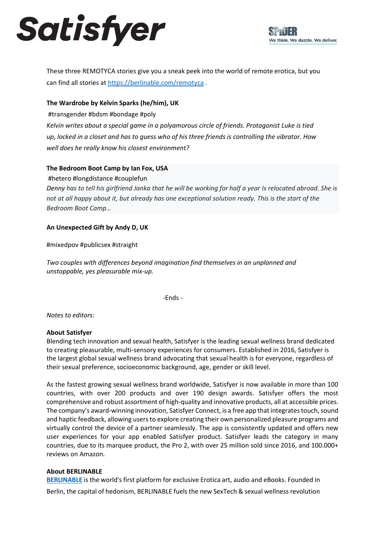## Satisfyer

These three REMOTYCA stories give you a sneak peek into the world of remote erotica, but you can find all stories at<https://berlinable.com/remotyca> .

#### **The Wardrobe by Kelvin Sparks (he/him), UK**

#transgender #bdsm #bondage #poly

*Kelvin writes about a special game in a polyamorous circle of friends. Protagonist Luke is tied up, locked in a closet and has to guess who of his three friends is controlling the vibrator. How well does he really know his closest environment?*

#### **The Bedroom Boot Camp by Ian Fox, USA**

#hetero #longdistance #couplefun

*Denny has to tell his girlfriend Janka that he will be working for half a year Is relocated abroad. She is not at all happy about it, but already has one exceptional solution ready. This is the start of the Bedroom Boot Camp…*

#### **An Unexpected Gift by Andy D, UK**

#mixedpov #publicsex #straight

*Two couples with differences beyond imagination find themselves in an unplanned and unstoppable, yes pleasurable mix-up.*

-Ends -

*Notes to editors:*

#### **About Satisfyer**

Blending tech innovation and sexual health, Satisfyer is the leading sexual wellness brand dedicated to creating pleasurable, multi-sensory experiences for consumers. Established in 2016, Satisfyer is the largest global sexual wellness brand advocating that sexual health is for everyone, regardless of their sexual preference, socioeconomic background, age, gender or skill level.

As the fastest growing sexual wellness brand worldwide, Satisfyer is now available in more than 100 countries, with over 200 products and over 190 design awards. Satisfyer offers the most comprehensive and robust assortment of high-quality and innovative products, all at accessible prices. The company's award-winning innovation, Satisfyer Connect, is a free app that integrates touch, sound and haptic feedback, allowing users to explore creating their own personalized pleasure programs and virtually control the device of a partner seamlessly. The app is consistently updated and offers new user experiences for your app enabled Satisfyer product. Satisfyer leads the category in many countries, due to its marquee product, the Pro 2, with over 25 million sold since 2016, and 100.000+ reviews on Amazon.

#### **About BERLINABLE**

**[BERLINABLE](https://berlinable.com/)** is the world's first platform for exclusive Erotica art, audio and eBooks. Founded in Berlin, the capital of hedonism, BERLINABLE fuels the new SexTech & sexual wellness revolution